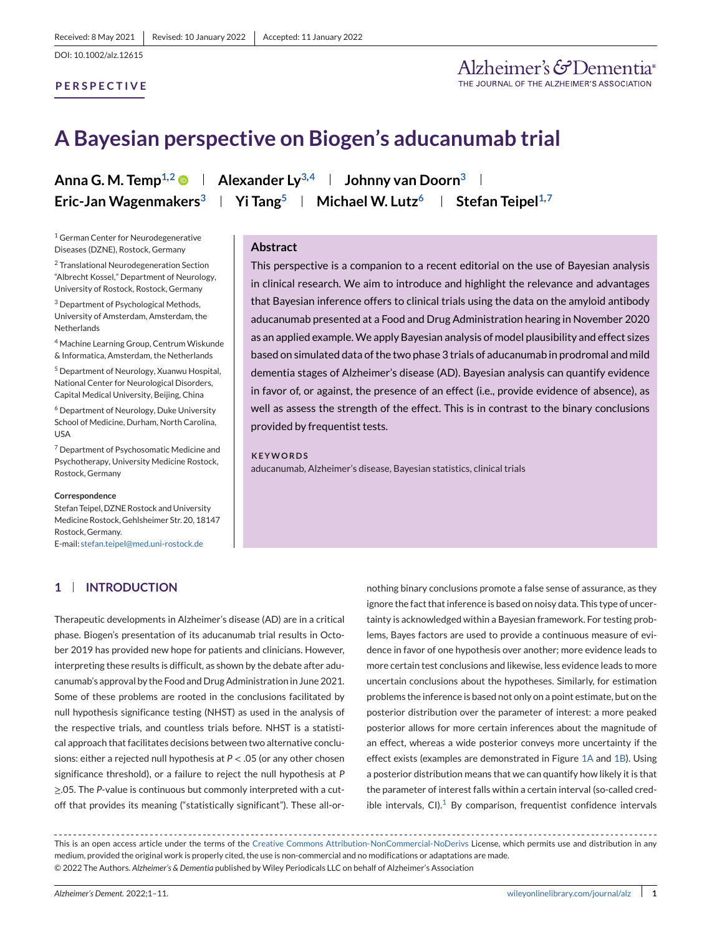### **PERSPECTIVE**

Alzheimer's & Dementia®

# **A Bayesian perspective on Biogen's aducanumab trial**

<sup>1</sup> German Center for Neurodegenerative Diseases (DZNE), Rostock, Germany

<sup>2</sup> Translational Neurodegeneration Section "Albrecht Kossel," Department of Neurology, University of Rostock, Rostock, Germany

<sup>3</sup> Department of Psychological Methods, University of Amsterdam, Amsterdam, the **Netherlands** 

<sup>4</sup> Machine Learning Group, Centrum Wiskunde & Informatica, Amsterdam, the Netherlands

<sup>5</sup> Department of Neurology, Xuanwu Hospital, National Center for Neurological Disorders, Capital Medical University, Beijing, China

<sup>6</sup> Department of Neurology, Duke University School of Medicine, Durham, North Carolina, USA

<sup>7</sup> Department of Psychosomatic Medicine and Psychotherapy, University Medicine Rostock, Rostock, Germany

#### **Correspondence**

Stefan Teipel, DZNE Rostock and University Medicine Rostock, Gehlsheimer Str. 20, 18147 Rostock, Germany. E-mail: [stefan.teipel@med.uni-rostock.de](mailto:stefan.teipel@med.uni-rostock.de)

**1 INTRODUCTION**

Therapeutic developments in Alzheimer's disease (AD) are in a critical phase. Biogen's presentation of its aducanumab trial results in October 2019 has provided new hope for patients and clinicians. However, interpreting these results is difficult, as shown by the debate after aducanumab's approval by the Food and Drug Administration in June 2021. Some of these problems are rooted in the conclusions facilitated by null hypothesis significance testing (NHST) as used in the analysis of the respective trials, and countless trials before. NHST is a statistical approach that facilitates decisions between two alternative conclusions: either a rejected null hypothesis at *P* < .05 (or any other chosen significance threshold), or a failure to reject the null hypothesis at *P* ≥.05. The *P*-value is continuous but commonly interpreted with a cutoff that provides its meaning ("statistically significant"). These all-or-

**Anna G. M. Temp<sup>1,2</sup>**  $\bullet$  **| Alexander Ly<sup>3,4</sup> | Johnny van Doorn<sup>3</sup> | Eric-Jan Wagenmakers<sup>3</sup> | Yi Tang<sup>5</sup> | Michael W. Lutz<sup>6</sup> | Stefan Teipel<sup>1,7</sup>** 

#### **Abstract**

This perspective is a companion to a recent editorial on the use of Bayesian analysis in clinical research. We aim to introduce and highlight the relevance and advantages that Bayesian inference offers to clinical trials using the data on the amyloid antibody aducanumab presented at a Food and Drug Administration hearing in November 2020 as an applied example.We apply Bayesian analysis of model plausibility and effect sizes based on simulated data of the two phase 3 trials of aducanumab in prodromal and mild dementia stages of Alzheimer's disease (AD). Bayesian analysis can quantify evidence in favor of, or against, the presence of an effect (i.e., provide evidence of absence), as well as assess the strength of the effect. This is in contrast to the binary conclusions provided by frequentist tests.

**KEYWORDS** aducanumab, Alzheimer's disease, Bayesian statistics, clinical trials

> nothing binary conclusions promote a false sense of assurance, as they ignore the fact that inference is based on noisy data. This type of uncertainty is acknowledged within a Bayesian framework. For testing problems, Bayes factors are used to provide a continuous measure of evidence in favor of one hypothesis over another; more evidence leads to more certain test conclusions and likewise, less evidence leads to more uncertain conclusions about the hypotheses. Similarly, for estimation problems the inference is based not only on a point estimate, but on the posterior distribution over the parameter of interest: a more peaked posterior allows for more certain inferences about the magnitude of an effect, whereas a wide posterior conveys more uncertainty if the effect exists (examples are demonstrated in Figure [1A](#page-1-0) and [1B\)](#page-1-0). Using a posterior distribution means that we can quantify how likely it is that the parameter of interest falls within a certain interval (so-called credible intervals,  $Cl$ ).<sup>[1](#page-9-0)</sup> By comparison, frequentist confidence intervals

This is an open access article under the terms of the [Creative Commons Attribution-NonCommercial-NoDerivs](http://creativecommons.org/licenses/by-nc-nd/4.0/) License, which permits use and distribution in any medium, provided the original work is properly cited, the use is non-commercial and no modifications or adaptations are made. © 2022 The Authors. *Alzheimer's & Dementia* published by Wiley Periodicals LLC on behalf of Alzheimer's Association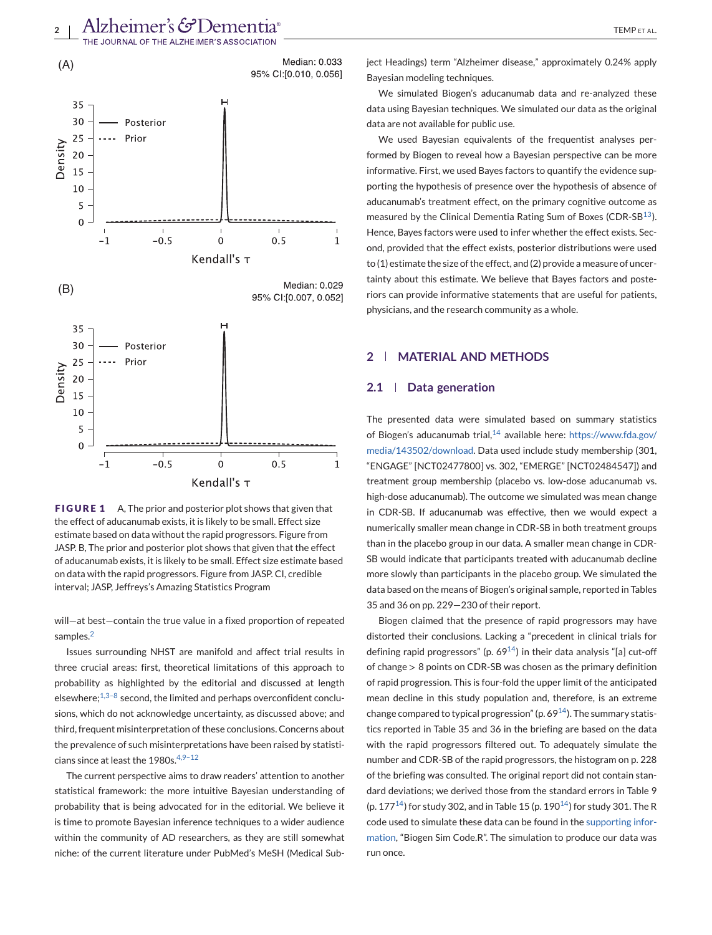<span id="page-1-0"></span>

**FIGURE 1** A, The prior and posterior plot shows that given that the effect of aducanumab exists, it is likely to be small. Effect size estimate based on data without the rapid progressors. Figure from JASP. B, The prior and posterior plot shows that given that the effect of aducanumab exists, it is likely to be small. Effect size estimate based on data with the rapid progressors. Figure from JASP. CI, credible interval; JASP, Jeffreys's Amazing Statistics Program

Kendall's τ

will—at best—contain the true value in a fixed proportion of repeated samples.<sup>[2](#page-9-0)</sup>

Issues surrounding NHST are manifold and affect trial results in three crucial areas: first, theoretical limitations of this approach to probability as highlighted by the editorial and discussed at length elsewhere; $1,3-8$  second, the limited and perhaps overconfident conclusions, which do not acknowledge uncertainty, as discussed above; and third, frequent misinterpretation of these conclusions. Concerns about the prevalence of such misinterpretations have been raised by statisticians since at least the 1980s.<sup>4,9-12</sup>

The current perspective aims to draw readers' attention to another statistical framework: the more intuitive Bayesian understanding of probability that is being advocated for in the editorial. We believe it is time to promote Bayesian inference techniques to a wider audience within the community of AD researchers, as they are still somewhat niche: of the current literature under PubMed's MeSH (Medical Subject Headings) term "Alzheimer disease," approximately 0.24% apply Bayesian modeling techniques.

We simulated Biogen's aducanumab data and re-analyzed these data using Bayesian techniques. We simulated our data as the original data are not available for public use.

We used Bayesian equivalents of the frequentist analyses performed by Biogen to reveal how a Bayesian perspective can be more informative. First, we used Bayes factors to quantify the evidence supporting the hypothesis of presence over the hypothesis of absence of aducanumab's treatment effect, on the primary cognitive outcome as measured by the Clinical Dementia Rating Sum of Boxes (CDR-SB<sup>13</sup>). Hence, Bayes factors were used to infer whether the effect exists. Second, provided that the effect exists, posterior distributions were used to (1) estimate the size of the effect, and (2) provide a measure of uncertainty about this estimate. We believe that Bayes factors and posteriors can provide informative statements that are useful for patients, physicians, and the research community as a whole.

### **2 MATERIAL AND METHODS**

#### **2.1 Data generation**

The presented data were simulated based on summary statistics of Biogen's aducanumab trial, $14$  available here: [https://www.fda.gov/](https://www.fda.gov/media/143502/download) [media/143502/download.](https://www.fda.gov/media/143502/download) Data used include study membership (301, "ENGAGE" [NCT02477800] vs. 302, "EMERGE" [NCT02484547]) and treatment group membership (placebo vs. low-dose aducanumab vs. high-dose aducanumab). The outcome we simulated was mean change in CDR-SB. If aducanumab was effective, then we would expect a numerically smaller mean change in CDR-SB in both treatment groups than in the placebo group in our data. A smaller mean change in CDR-SB would indicate that participants treated with aducanumab decline more slowly than participants in the placebo group. We simulated the data based on the means of Biogen's original sample, reported in Tables 35 and 36 on pp. 229—230 of their report.

Biogen claimed that the presence of rapid progressors may have distorted their conclusions. Lacking a "precedent in clinical trials for defining rapid progressors" (p.  $69^{14}$ ) in their data analysis "[a] cut-off of change > 8 points on CDR-SB was chosen as the primary definition of rapid progression. This is four-fold the upper limit of the anticipated mean decline in this study population and, therefore, is an extreme change compared to typical progression" (p.  $69^{14}$ ). The summary statistics reported in Table 35 and 36 in the briefing are based on the data with the rapid progressors filtered out. To adequately simulate the number and CDR-SB of the rapid progressors, the histogram on p. 228 of the briefing was consulted. The original report did not contain standard deviations; we derived those from the standard errors in Table 9 (p. 177<sup>14</sup>) for study 302, and in Table 15 (p. 190<sup>14</sup>) for study 301. The R code used to simulate these data can be found in the supporting information, "Biogen Sim Code.R". The simulation to produce our data was run once.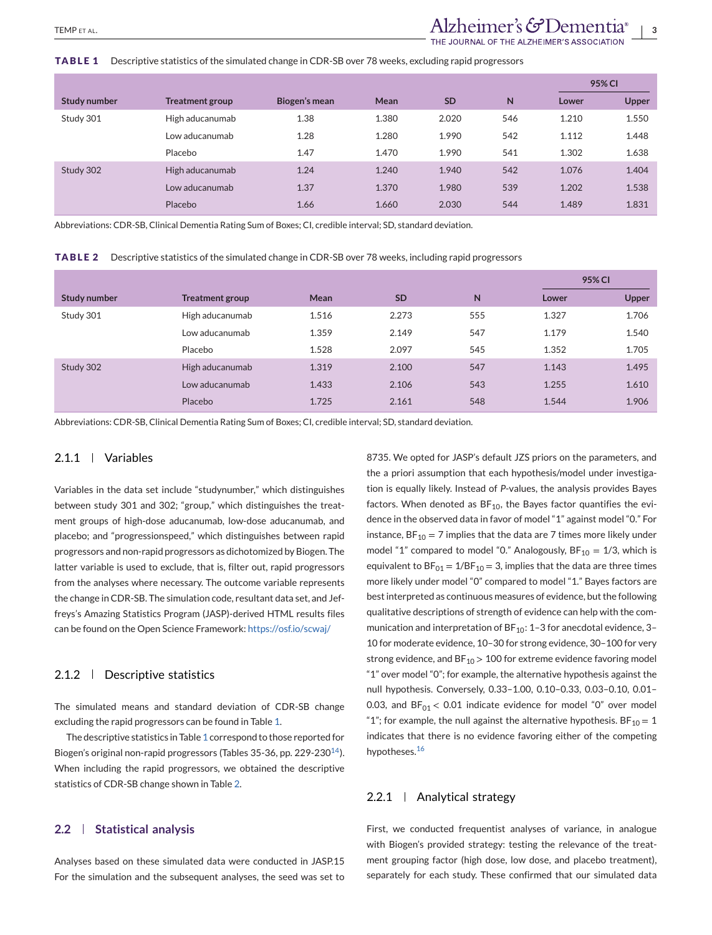#### **TABLE 1** Descriptive statistics of the simulated change in CDR-SB over 78 weeks, excluding rapid progressors

|              |                        |               |       |           |     | 95% CI |              |
|--------------|------------------------|---------------|-------|-----------|-----|--------|--------------|
| Study number | <b>Treatment group</b> | Biogen's mean | Mean  | <b>SD</b> | N   | Lower  | <b>Upper</b> |
| Study 301    | High aducanumab        | 1.38          | 1.380 | 2.020     | 546 | 1.210  | 1.550        |
|              | Low aducanumab         | 1.28          | 1.280 | 1.990     | 542 | 1.112  | 1.448        |
|              | Placebo                | 1.47          | 1.470 | 1.990     | 541 | 1.302  | 1.638        |
| Study 302    | High aducanumab        | 1.24          | 1.240 | 1.940     | 542 | 1.076  | 1.404        |
|              | Low aducanumab         | 1.37          | 1.370 | 1.980     | 539 | 1.202  | 1.538        |
|              | Placebo                | 1.66          | 1.660 | 2.030     | 544 | 1.489  | 1.831        |

Abbreviations: CDR-SB, Clinical Dementia Rating Sum of Boxes; CI, credible interval; SD, standard deviation.

**TABLE 2** Descriptive statistics of the simulated change in CDR-SB over 78 weeks, including rapid progressors

|              |                        |       |           |     |       | <b>95% CI</b> |  |
|--------------|------------------------|-------|-----------|-----|-------|---------------|--|
| Study number | <b>Treatment group</b> | Mean  | <b>SD</b> | N   | Lower | <b>Upper</b>  |  |
| Study 301    | High aducanumab        | 1.516 | 2.273     | 555 | 1.327 | 1.706         |  |
|              | Low aducanumab         | 1.359 | 2.149     | 547 | 1.179 | 1.540         |  |
|              | Placebo                | 1.528 | 2.097     | 545 | 1.352 | 1.705         |  |
| Study 302    | High aducanumab        | 1.319 | 2.100     | 547 | 1.143 | 1.495         |  |
|              | Low aducanumab         | 1.433 | 2.106     | 543 | 1.255 | 1.610         |  |
|              | Placebo                | 1.725 | 2.161     | 548 | 1.544 | 1.906         |  |

Abbreviations: CDR-SB, Clinical Dementia Rating Sum of Boxes; CI, credible interval; SD, standard deviation.

### 2.1.1 Variables

Variables in the data set include "studynumber," which distinguishes between study 301 and 302; "group," which distinguishes the treatment groups of high-dose aducanumab, low-dose aducanumab, and placebo; and "progressionspeed," which distinguishes between rapid progressors and non-rapid progressors as dichotomized by Biogen. The latter variable is used to exclude, that is, filter out, rapid progressors from the analyses where necessary. The outcome variable represents the change in CDR-SB. The simulation code, resultant data set, and Jeffreys's Amazing Statistics Program (JASP)-derived HTML results files can be found on the Open Science Framework: <https://osf.io/scwaj/>

### 2.1.2 Descriptive statistics

The simulated means and standard deviation of CDR-SB change excluding the rapid progressors can be found in Table 1.

The descriptive statistics in Table 1 correspond to those reported for Biogen's original non-rapid progressors (Tables 35-36, pp. 229-230 $^{14}$ ). When including the rapid progressors, we obtained the descriptive statistics of CDR-SB change shown in Table 2.

### **2.2 Statistical analysis**

Analyses based on these simulated data were conducted in JASP.15 For the simulation and the subsequent analyses, the seed was set to

8735. We opted for JASP's default JZS priors on the parameters, and the a priori assumption that each hypothesis/model under investigation is equally likely. Instead of *P*-values, the analysis provides Bayes factors. When denoted as  $BF_{10}$ , the Bayes factor quantifies the evidence in the observed data in favor of model "1" against model "0." For instance,  $BF_{10} = 7$  implies that the data are 7 times more likely under model "1" compared to model "0." Analogously,  $BF_{10} = 1/3$ , which is equivalent to  $BF_{01} = 1/BF_{10} = 3$ , implies that the data are three times more likely under model "0" compared to model "1." Bayes factors are best interpreted as continuous measures of evidence, but the following qualitative descriptions of strength of evidence can help with the communication and interpretation of  $BF_{10}$ : 1-3 for anecdotal evidence, 3-10 for moderate evidence, 10–30 for strong evidence, 30–100 for very strong evidence, and  $BF_{10}$  > 100 for extreme evidence favoring model "1" over model "0"; for example, the alternative hypothesis against the null hypothesis. Conversely, 0.33–1.00, 0.10–0.33, 0.03–0.10, 0.01– 0.03, and  $BF<sub>01</sub> < 0.01$  indicate evidence for model "0" over model "1"; for example, the null against the alternative hypothesis.  $BF_{10} = 1$ indicates that there is no evidence favoring either of the competing hypotheses.<sup>[16](#page-9-0)</sup>

### 2.2.1 | Analytical strategy

First, we conducted frequentist analyses of variance, in analogue with Biogen's provided strategy: testing the relevance of the treatment grouping factor (high dose, low dose, and placebo treatment), separately for each study. These confirmed that our simulated data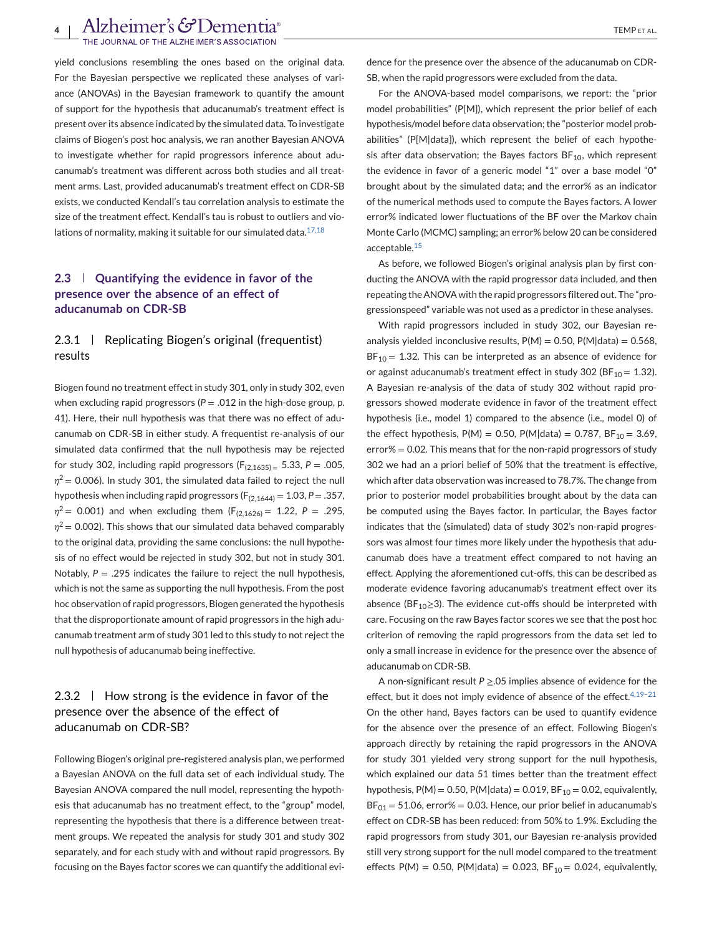yield conclusions resembling the ones based on the original data. For the Bayesian perspective we replicated these analyses of variance (ANOVAs) in the Bayesian framework to quantify the amount of support for the hypothesis that aducanumab's treatment effect is present over its absence indicated by the simulated data. To investigate claims of Biogen's post hoc analysis, we ran another Bayesian ANOVA to investigate whether for rapid progressors inference about aducanumab's treatment was different across both studies and all treatment arms. Last, provided aducanumab's treatment effect on CDR-SB exists, we conducted Kendall's tau correlation analysis to estimate the size of the treatment effect. Kendall's tau is robust to outliers and violations of normality, making it suitable for our simulated data. $17,18$ 

# **2.3 Quantifying the evidence in favor of the presence over the absence of an effect of aducanumab on CDR-SB**

# 2.3.1 | Replicating Biogen's original (frequentist) results

Biogen found no treatment effect in study 301, only in study 302, even when excluding rapid progressors  $(P = .012$  in the high-dose group, p. 41). Here, their null hypothesis was that there was no effect of aducanumab on CDR-SB in either study. A frequentist re-analysis of our simulated data confirmed that the null hypothesis may be rejected for study 302, including rapid progressors  $(F<sub>(2.1635)</sub> = 5.33, P = .005,$  $\eta^2$  = 0.006). In study 301, the simulated data failed to reject the null hypothesis when including rapid progressors  $(F_{(2,1644)} = 1.03, P = .357,$  $\eta^2$  = 0.001) and when excluding them (F<sub>(2,1626)</sub> = 1.22, P = .295,  $\eta^2$  = 0.002). This shows that our simulated data behaved comparably to the original data, providing the same conclusions: the null hypothesis of no effect would be rejected in study 302, but not in study 301. Notably,  $P = .295$  indicates the failure to reject the null hypothesis, which is not the same as supporting the null hypothesis. From the post hoc observation of rapid progressors, Biogen generated the hypothesis that the disproportionate amount of rapid progressors in the high aducanumab treatment arm of study 301 led to this study to not reject the null hypothesis of aducanumab being ineffective.

# 2.3.2  $\parallel$  How strong is the evidence in favor of the presence over the absence of the effect of aducanumab on CDR-SB?

Following Biogen's original pre-registered analysis plan, we performed a Bayesian ANOVA on the full data set of each individual study. The Bayesian ANOVA compared the null model, representing the hypothesis that aducanumab has no treatment effect, to the "group" model, representing the hypothesis that there is a difference between treatment groups. We repeated the analysis for study 301 and study 302 separately, and for each study with and without rapid progressors. By focusing on the Bayes factor scores we can quantify the additional evidence for the presence over the absence of the aducanumab on CDR-SB, when the rapid progressors were excluded from the data.

For the ANOVA-based model comparisons, we report: the "prior model probabilities" (P[M]), which represent the prior belief of each hypothesis/model before data observation; the "posterior model probabilities" (P[M|data]), which represent the belief of each hypothesis after data observation; the Bayes factors  $BF_{10}$ , which represent the evidence in favor of a generic model "1" over a base model "0" brought about by the simulated data; and the error% as an indicator of the numerical methods used to compute the Bayes factors. A lower error% indicated lower fluctuations of the BF over the Markov chain Monte Carlo (MCMC) sampling; an error% below 20 can be considered acceptable.[15](#page-9-0)

As before, we followed Biogen's original analysis plan by first conducting the ANOVA with the rapid progressor data included, and then repeating the ANOVA with the rapid progressors filtered out. The "progressionspeed" variable was not used as a predictor in these analyses.

With rapid progressors included in study 302, our Bayesian reanalysis yielded inconclusive results,  $P(M) = 0.50$ ,  $P(M|data) = 0.568$ ,  $BF_{10} = 1.32$ . This can be interpreted as an absence of evidence for or against aducanumab's treatment effect in study 302 (BF<sub>10</sub> = 1.32). A Bayesian re-analysis of the data of study 302 without rapid progressors showed moderate evidence in favor of the treatment effect hypothesis (i.e., model 1) compared to the absence (i.e., model 0) of the effect hypothesis,  $P(M) = 0.50$ ,  $P(M|data) = 0.787$ ,  $BF_{10} = 3.69$ , error% = 0.02. This means that for the non-rapid progressors of study 302 we had an a priori belief of 50% that the treatment is effective, which after data observation was increased to 78.7%. The change from prior to posterior model probabilities brought about by the data can be computed using the Bayes factor. In particular, the Bayes factor indicates that the (simulated) data of study 302's non-rapid progressors was almost four times more likely under the hypothesis that aducanumab does have a treatment effect compared to not having an effect. Applying the aforementioned cut-offs, this can be described as moderate evidence favoring aducanumab's treatment effect over its absence (BF<sub>10</sub>≥3). The evidence cut-offs should be interpreted with care. Focusing on the raw Bayes factor scores we see that the post hoc criterion of removing the rapid progressors from the data set led to only a small increase in evidence for the presence over the absence of aducanumab on CDR-SB.

A non-significant result *P* ≥.05 implies absence of evidence for the effect, but it does not imply evidence of absence of the effect.<sup>4,19-21</sup> On the other hand, Bayes factors can be used to quantify evidence for the absence over the presence of an effect. Following Biogen's approach directly by retaining the rapid progressors in the ANOVA for study 301 yielded very strong support for the null hypothesis, which explained our data 51 times better than the treatment effect hypothesis,  $P(M) = 0.50$ ,  $P(M|data) = 0.019$ ,  $BF_{10} = 0.02$ , equivalently,  $BF<sub>01</sub> = 51.06$ , error% = 0.03. Hence, our prior belief in aducanumab's effect on CDR-SB has been reduced: from 50% to 1.9%. Excluding the rapid progressors from study 301, our Bayesian re-analysis provided still very strong support for the null model compared to the treatment effects P(M) = 0.50, P(M|data) = 0.023, BF<sub>10</sub> = 0.024, equivalently,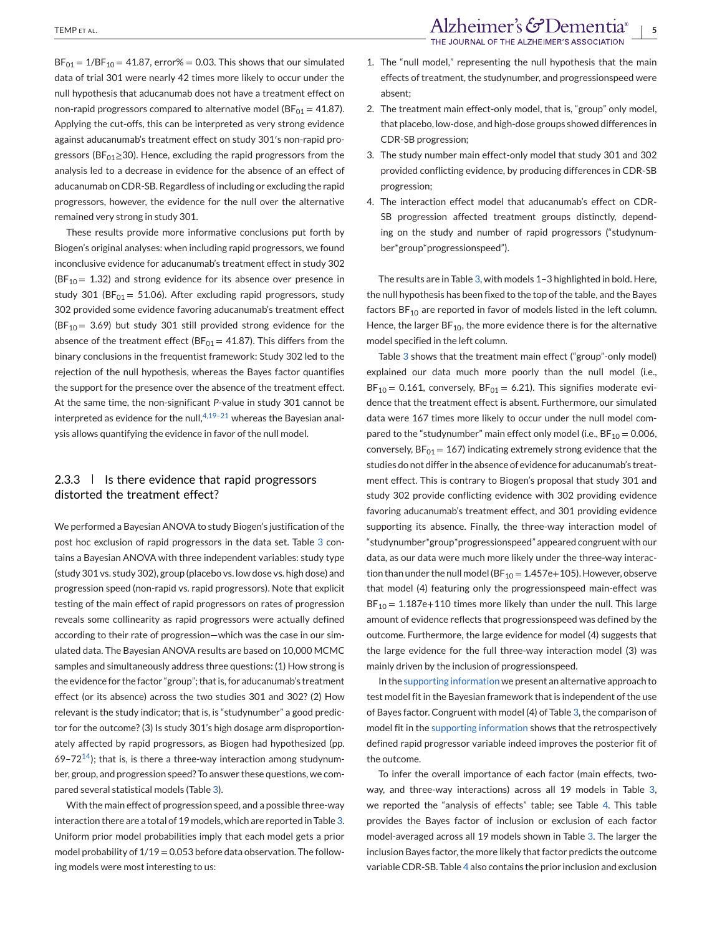$BF_{01} = 1/BF_{10} = 41.87$ , error% = 0.03. This shows that our simulated data of trial 301 were nearly 42 times more likely to occur under the null hypothesis that aducanumab does not have a treatment effect on non-rapid progressors compared to alternative model ( $BF_{01} = 41.87$ ). Applying the cut-offs, this can be interpreted as very strong evidence against aducanumab's treatment effect on study 301′s non-rapid progressors (BF $_{01} \geq 30$ ). Hence, excluding the rapid progressors from the analysis led to a decrease in evidence for the absence of an effect of aducanumab on CDR-SB. Regardless of including or excluding the rapid progressors, however, the evidence for the null over the alternative remained very strong in study 301.

These results provide more informative conclusions put forth by Biogen's original analyses: when including rapid progressors, we found inconclusive evidence for aducanumab's treatment effect in study 302 (BF<sub>10</sub> = 1.32) and strong evidence for its absence over presence in study 301 (BF $_{01}$  = 51.06). After excluding rapid progressors, study 302 provided some evidence favoring aducanumab's treatment effect (BF<sub>10</sub> = 3.69) but study 301 still provided strong evidence for the absence of the treatment effect ( $BF_{01} = 41.87$ ). This differs from the binary conclusions in the frequentist framework: Study 302 led to the rejection of the null hypothesis, whereas the Bayes factor quantifies the support for the presence over the absence of the treatment effect. At the same time, the non-significant *P*-value in study 301 cannot be interpreted as evidence for the null,  $4,19-21$  whereas the Bayesian analysis allows quantifying the evidence in favor of the null model.

## $2.3.3$  | Is there evidence that rapid progressors distorted the treatment effect?

We performed a Bayesian ANOVA to study Biogen's justification of the post hoc exclusion of rapid progressors in the data set. Table [3](#page-5-0) contains a Bayesian ANOVA with three independent variables: study type (study 301 vs. study 302), group (placebo vs. low dose vs. high dose) and progression speed (non-rapid vs. rapid progressors). Note that explicit testing of the main effect of rapid progressors on rates of progression reveals some collinearity as rapid progressors were actually defined according to their rate of progression—which was the case in our simulated data. The Bayesian ANOVA results are based on 10,000 MCMC samples and simultaneously address three questions: (1) How strong is the evidence for the factor "group"; that is, for aducanumab's treatment effect (or its absence) across the two studies 301 and 302? (2) How relevant is the study indicator; that is, is "studynumber" a good predictor for the outcome? (3) Is study 301's high dosage arm disproportionately affected by rapid progressors, as Biogen had hypothesized (pp. 69–72 $14$ ); that is, is there a three-way interaction among studynumber, group, and progression speed? To answer these questions, we compared several statistical models (Table [3\)](#page-5-0).

With the main effect of progression speed, and a possible three-way interaction there are a total of 19 models, which are reported in Table [3.](#page-5-0) Uniform prior model probabilities imply that each model gets a prior model probability of 1/19 = 0.053 before data observation. The following models were most interesting to us:

- 1. The "null model," representing the null hypothesis that the main effects of treatment, the studynumber, and progressionspeed were absent;
- 2. The treatment main effect-only model, that is, "group" only model, that placebo, low-dose, and high-dose groups showed differences in CDR-SB progression;
- 3. The study number main effect-only model that study 301 and 302 provided conflicting evidence, by producing differences in CDR-SB progression;
- 4. The interaction effect model that aducanumab's effect on CDR-SB progression affected treatment groups distinctly, depending on the study and number of rapid progressors ("studynumber\*group\*progressionspeed").

The results are in Table [3,](#page-5-0) with models 1–3 highlighted in bold. Here, the null hypothesis has been fixed to the top of the table, and the Bayes factors  $BF_{10}$  are reported in favor of models listed in the left column. Hence, the larger  $BF_{10}$ , the more evidence there is for the alternative model specified in the left column.

Table [3](#page-5-0) shows that the treatment main effect ("group"-only model) explained our data much more poorly than the null model (i.e.,  $BF_{10} = 0.161$ , conversely,  $BF_{01} = 6.21$ ). This signifies moderate evidence that the treatment effect is absent. Furthermore, our simulated data were 167 times more likely to occur under the null model compared to the "studynumber" main effect only model (i.e.,  $BF_{10} = 0.006$ , conversely,  $BF_{01} = 167$ ) indicating extremely strong evidence that the studies do not differ in the absence of evidence for aducanumab's treatment effect. This is contrary to Biogen's proposal that study 301 and study 302 provide conflicting evidence with 302 providing evidence favoring aducanumab's treatment effect, and 301 providing evidence supporting its absence. Finally, the three-way interaction model of "studynumber\*group\*progressionspeed" appeared congruent with our data, as our data were much more likely under the three-way interaction than under the null model (BF<sub>10</sub> = 1.457e+105). However, observe that model (4) featuring only the progressionspeed main-effect was  $BF_{10} = 1.187e+110$  times more likely than under the null. This large amount of evidence reflects that progressionspeed was defined by the outcome. Furthermore, the large evidence for model (4) suggests that the large evidence for the full three-way interaction model (3) was mainly driven by the inclusion of progressionspeed.

In the supporting information we present an alternative approach to test model fit in the Bayesian framework that is independent of the use of Bayes factor. Congruent with model (4) of Table [3,](#page-5-0) the comparison of model fit in the supporting information shows that the retrospectively defined rapid progressor variable indeed improves the posterior fit of the outcome.

To infer the overall importance of each factor (main effects, twoway, and three-way interactions) across all 19 models in Table [3,](#page-5-0) we reported the "analysis of effects" table; see Table [4.](#page-6-0) This table provides the Bayes factor of inclusion or exclusion of each factor model-averaged across all 19 models shown in Table [3.](#page-5-0) The larger the inclusion Bayes factor, the more likely that factor predicts the outcome variable CDR-SB. Table [4](#page-6-0) also contains the prior inclusion and exclusion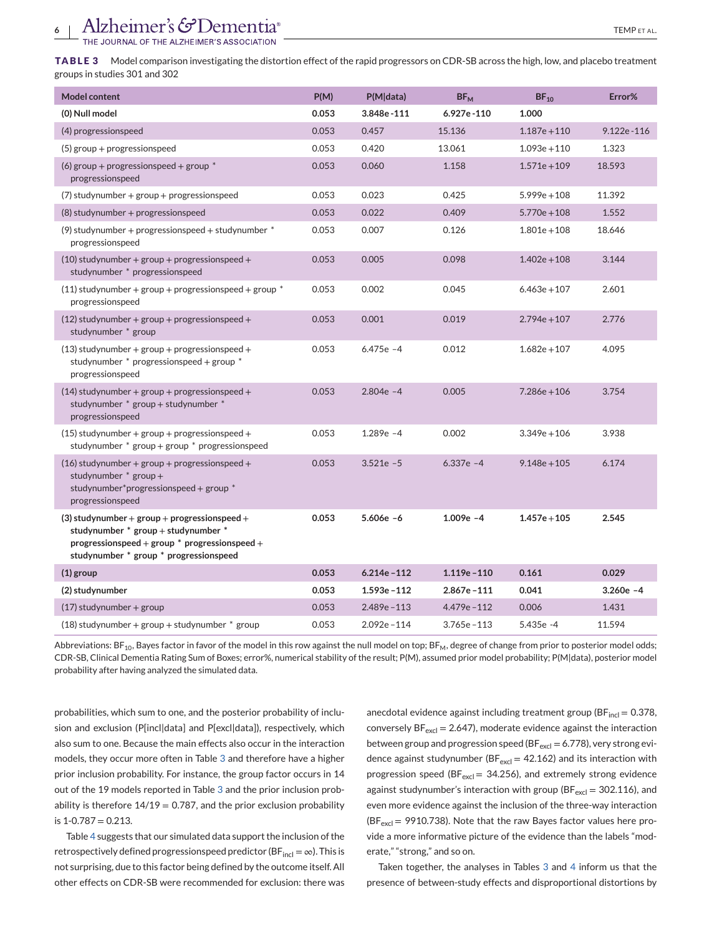<span id="page-5-0"></span>**TABLE 3** Model comparison investigating the distortion effect of the rapid progressors on CDR-SB across the high, low, and placebo treatment groups in studies 301 and 302

| <b>Model content</b>                                                                                                                                                               | P(M)  | P(M data)      | $BF_{M}$       | $BF_{10}$      | Error%      |
|------------------------------------------------------------------------------------------------------------------------------------------------------------------------------------|-------|----------------|----------------|----------------|-------------|
| (0) Null model                                                                                                                                                                     | 0.053 | 3.848e-111     | 6.927e-110     | 1.000          |             |
| (4) progressionspeed                                                                                                                                                               | 0.053 | 0.457          | 15.136         | $1.187e + 110$ | 9.122e-116  |
| (5) group + progressionspeed                                                                                                                                                       | 0.053 | 0.420          | 13.061         | $1.093e + 110$ | 1.323       |
| (6) group + progressionspeed + group $*$<br>progressionspeed                                                                                                                       | 0.053 | 0.060          | 1.158          | $1.571e + 109$ | 18.593      |
| $(7)$ studynumber + group + progressionspeed                                                                                                                                       | 0.053 | 0.023          | 0.425          | $5.999e + 108$ | 11.392      |
| (8) studynumber + progressionspeed                                                                                                                                                 | 0.053 | 0.022          | 0.409          | $5.770e + 108$ | 1.552       |
| (9) studynumber + progressionspeed + studynumber $*$<br>progressionspeed                                                                                                           | 0.053 | 0.007          | 0.126          | $1.801e + 108$ | 18.646      |
| $(10)$ studynumber + group + progressionspeed +<br>studynumber * progressionspeed                                                                                                  | 0.053 | 0.005          | 0.098          | $1.402e + 108$ | 3.144       |
| $(11)$ studynumber + group + progressionspeed + group $*$<br>progressionspeed                                                                                                      | 0.053 | 0.002          | 0.045          | $6.463e + 107$ | 2.601       |
| $(12)$ studynumber + group + progressionspeed +<br>studynumber * group                                                                                                             | 0.053 | 0.001          | 0.019          | $2.794e + 107$ | 2.776       |
| $(13)$ studynumber + group + progressionspeed +<br>studynumber * progressionspeed + group *<br>progressionspeed                                                                    | 0.053 | $6.475e -4$    | 0.012          | $1.682e + 107$ | 4.095       |
| $(14)$ studynumber + group + progressionspeed +<br>studynumber * group + studynumber *<br>progressionspeed                                                                         | 0.053 | $2.804e -4$    | 0.005          | $7.286e + 106$ | 3.754       |
| $(15)$ studynumber + group + progressionspeed +<br>studynumber $*$ group + group $*$ progressionspeed                                                                              | 0.053 | $1.289e -4$    | 0.002          | $3.349e + 106$ | 3.938       |
| $(16)$ studynumber + group + progressionspeed +<br>studynumber $*$ group +<br>studynumber*progressionspeed + group *<br>progressionspeed                                           | 0.053 | $3.521e - 5$   | $6.337e -4$    | $9.148e + 105$ | 6.174       |
| $(3)$ studynumber + group + progressionspeed +<br>studynumber * group + studynumber *<br>progressionspeed + group $*$ progressionspeed +<br>studynumber * group * progressionspeed | 0.053 | $5.606e - 6$   | $1.009e -4$    | $1.457e + 105$ | 2.545       |
| (1) group                                                                                                                                                                          | 0.053 | $6.214e - 112$ | $1.119e - 110$ | 0.161          | 0.029       |
| (2) studynumber                                                                                                                                                                    | 0.053 | $1.593e - 112$ | $2.867e - 111$ | 0.041          | $3.260e -4$ |
| $(17)$ studynumber + group                                                                                                                                                         | 0.053 | $2.489e - 113$ | 4.479e-112     | 0.006          | 1.431       |
| $(18)$ studynumber + group + studynumber $*$ group                                                                                                                                 | 0.053 | $2.092e - 114$ | $3.765e - 113$ | 5.435e-4       | 11.594      |

Abbreviations: BF<sub>10</sub>, Bayes factor in favor of the model in this row against the null model on top; BF<sub>M</sub>, degree of change from prior to posterior model odds; CDR-SB, Clinical Dementia Rating Sum of Boxes; error%, numerical stability of the result; P(M), assumed prior model probability; P(M|data), posterior model probability after having analyzed the simulated data.

probabilities, which sum to one, and the posterior probability of inclusion and exclusion (P[incl|data] and P[excl|data]), respectively, which also sum to one. Because the main effects also occur in the interaction models, they occur more often in Table 3 and therefore have a higher prior inclusion probability. For instance, the group factor occurs in 14 out of the 19 models reported in Table 3 and the prior inclusion probability is therefore  $14/19 = 0.787$ , and the prior exclusion probability is  $1 - 0.787 = 0.213$ .

Table [4](#page-6-0) suggests that our simulated data support the inclusion of the retrospectively defined progressionspeed predictor (BF $_{\text{incl}} = \infty$ ). This is not surprising, due to this factor being defined by the outcome itself. All other effects on CDR-SB were recommended for exclusion: there was

anecdotal evidence against including treatment group ( $BF_{incl} = 0.378$ , conversely  $BF_{\text{excl}} = 2.647$ ), moderate evidence against the interaction between group and progression speed (BF $_{\rm excl}$  = 6.778), very strong evidence against studynumber ( $BF_{\text{excl}} = 42.162$ ) and its interaction with progression speed (BF $_{\text{excl}}$  = 34.256), and extremely strong evidence against studynumber's interaction with group ( $BF_{\text{excl}} = 302.116$ ), and even more evidence against the inclusion of the three-way interaction ( $BF<sub>excl</sub>$  = 9910.738). Note that the raw Bayes factor values here provide a more informative picture of the evidence than the labels "moderate," "strong," and so on.

Taken together, the analyses in Tables 3 and [4](#page-6-0) inform us that the presence of between-study effects and disproportional distortions by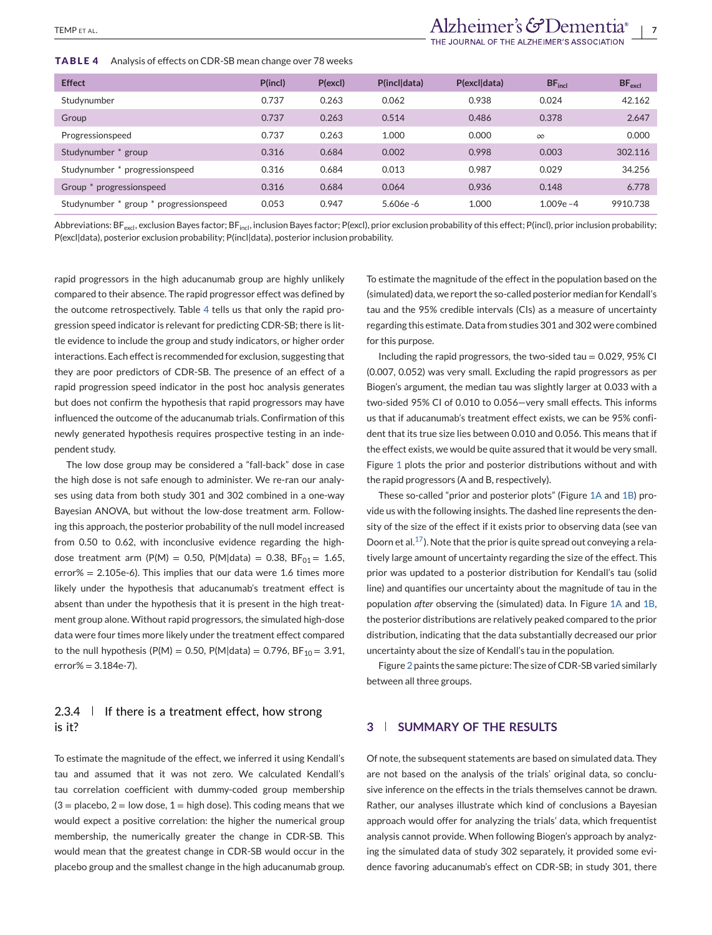<span id="page-6-0"></span>**TABLE 4** Analysis of effects on CDR-SB mean change over 78 weeks

| <b>Effect</b>                          | P(incl) | P(excl) | P(incl data) | P(excl data) | $BF_{\text{incl}}$ | BF <sub>excl</sub> |
|----------------------------------------|---------|---------|--------------|--------------|--------------------|--------------------|
| Studynumber                            | 0.737   | 0.263   | 0.062        | 0.938        | 0.024              | 42.162             |
| Group                                  | 0.737   | 0.263   | 0.514        | 0.486        | 0.378              | 2.647              |
| Progressionspeed                       | 0.737   | 0.263   | 1.000        | 0.000        | $\infty$           | 0.000              |
| Studynumber * group                    | 0.316   | 0.684   | 0.002        | 0.998        | 0.003              | 302.116            |
| Studynumber * progressionspeed         | 0.316   | 0.684   | 0.013        | 0.987        | 0.029              | 34.256             |
| Group * progressionspeed               | 0.316   | 0.684   | 0.064        | 0.936        | 0.148              | 6.778              |
| Studynumber * group * progressionspeed | 0.053   | 0.947   | $5.606e - 6$ | 1.000        | $1.009e - 4$       | 9910.738           |

Abbreviations: BF<sub>excl</sub>, exclusion Bayes factor; BF<sub>incl</sub>, inclusion Bayes factor; P(excl), prior exclusion probability of this effect; P(incl), prior inclusion probability; P(excl|data), posterior exclusion probability; P(incl|data), posterior inclusion probability.

rapid progressors in the high aducanumab group are highly unlikely compared to their absence. The rapid progressor effect was defined by the outcome retrospectively. Table 4 tells us that only the rapid progression speed indicator is relevant for predicting CDR-SB; there is little evidence to include the group and study indicators, or higher order interactions. Each effect is recommended for exclusion, suggesting that they are poor predictors of CDR-SB. The presence of an effect of a rapid progression speed indicator in the post hoc analysis generates but does not confirm the hypothesis that rapid progressors may have influenced the outcome of the aducanumab trials. Confirmation of this newly generated hypothesis requires prospective testing in an independent study.

The low dose group may be considered a "fall-back" dose in case the high dose is not safe enough to administer. We re-ran our analyses using data from both study 301 and 302 combined in a one-way Bayesian ANOVA, but without the low-dose treatment arm. Following this approach, the posterior probability of the null model increased from 0.50 to 0.62, with inconclusive evidence regarding the highdose treatment arm (P(M) = 0.50, P(M|data) = 0.38, BF<sub>01</sub> = 1.65,  $error\% = 2.105e-6$ ). This implies that our data were 1.6 times more likely under the hypothesis that aducanumab's treatment effect is absent than under the hypothesis that it is present in the high treatment group alone. Without rapid progressors, the simulated high-dose data were four times more likely under the treatment effect compared to the null hypothesis (P(M) = 0.50, P(M|data) = 0.796, BF<sub>10</sub> = 3.91,  $error% = 3.184e-7$ ).

# 2.3.4  $\parallel$  If there is a treatment effect, how strong is it?

To estimate the magnitude of the effect, we inferred it using Kendall's tau and assumed that it was not zero. We calculated Kendall's tau correlation coefficient with dummy-coded group membership  $(3 =$  placebo,  $2 =$  low dose,  $1 =$  high dose). This coding means that we would expect a positive correlation: the higher the numerical group membership, the numerically greater the change in CDR-SB. This would mean that the greatest change in CDR-SB would occur in the placebo group and the smallest change in the high aducanumab group.

To estimate the magnitude of the effect in the population based on the (simulated) data, we report the so-called posterior median for Kendall's tau and the 95% credible intervals (CIs) as a measure of uncertainty regarding this estimate. Data from studies 301 and 302 were combined for this purpose.

Including the rapid progressors, the two-sided tau  $= 0.029$ , 95% CI (0.007, 0.052) was very small. Excluding the rapid progressors as per Biogen's argument, the median tau was slightly larger at 0.033 with a two-sided 95% CI of 0.010 to 0.056—very small effects. This informs us that if aducanumab's treatment effect exists, we can be 95% confident that its true size lies between 0.010 and 0.056. This means that if the effect exists, we would be quite assured that it would be very small. Figure [1](#page-1-0) plots the prior and posterior distributions without and with the rapid progressors (A and B, respectively).

These so-called "prior and posterior plots" (Figure [1A](#page-1-0) and [1B\)](#page-1-0) provide us with the following insights. The dashed line represents the density of the size of the effect if it exists prior to observing data (see van Doorn et al.<sup>17</sup>). Note that the prior is quite spread out conveying a relatively large amount of uncertainty regarding the size of the effect. This prior was updated to a posterior distribution for Kendall's tau (solid line) and quantifies our uncertainty about the magnitude of tau in the population *after* observing the (simulated) data. In Figure [1A](#page-1-0) and [1B,](#page-1-0) the posterior distributions are relatively peaked compared to the prior distribution, indicating that the data substantially decreased our prior uncertainty about the size of Kendall's tau in the population.

Figure [2](#page-7-0) paints the same picture: The size of CDR-SB varied similarly between all three groups.

# **3 SUMMARY OF THE RESULTS**

Of note, the subsequent statements are based on simulated data. They are not based on the analysis of the trials' original data, so conclusive inference on the effects in the trials themselves cannot be drawn. Rather, our analyses illustrate which kind of conclusions a Bayesian approach would offer for analyzing the trials' data, which frequentist analysis cannot provide. When following Biogen's approach by analyzing the simulated data of study 302 separately, it provided some evidence favoring aducanumab's effect on CDR-SB; in study 301, there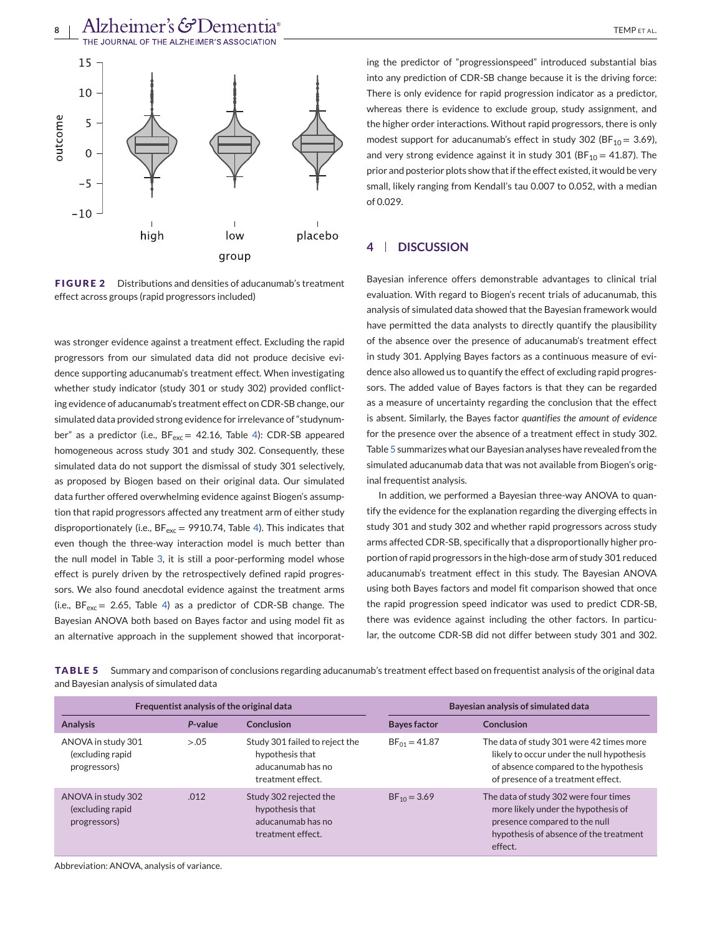<span id="page-7-0"></span>

**FIGURE 2** Distributions and densities of aducanumab's treatment effect across groups (rapid progressors included)

was stronger evidence against a treatment effect. Excluding the rapid progressors from our simulated data did not produce decisive evidence supporting aducanumab's treatment effect. When investigating whether study indicator (study 301 or study 302) provided conflicting evidence of aducanumab's treatment effect on CDR-SB change, our simulated data provided strong evidence for irrelevance of "studynumber" as a predictor (i.e.,  $BF_{exc} = 42.16$ , Table [4\)](#page-6-0): CDR-SB appeared homogeneous across study 301 and study 302. Consequently, these simulated data do not support the dismissal of study 301 selectively, as proposed by Biogen based on their original data. Our simulated data further offered overwhelming evidence against Biogen's assumption that rapid progressors affected any treatment arm of either study disproportionately (i.e.,  $BF_{exc} = 9910.74$ , Table [4\)](#page-6-0). This indicates that even though the three-way interaction model is much better than the null model in Table [3,](#page-5-0) it is still a poor-performing model whose effect is purely driven by the retrospectively defined rapid progressors. We also found anecdotal evidence against the treatment arms (i.e.,  $BF_{exc} = 2.65$ , Table [4\)](#page-6-0) as a predictor of CDR-SB change. The Bayesian ANOVA both based on Bayes factor and using model fit as an alternative approach in the supplement showed that incorporating the predictor of "progressionspeed" introduced substantial bias into any prediction of CDR-SB change because it is the driving force: There is only evidence for rapid progression indicator as a predictor, whereas there is evidence to exclude group, study assignment, and the higher order interactions. Without rapid progressors, there is only modest support for aducanumab's effect in study 302 (BF<sub>10</sub> = 3.69), and very strong evidence against it in study 301 (BF<sub>10</sub> = 41.87). The prior and posterior plots show that if the effect existed, it would be very small, likely ranging from Kendall's tau 0.007 to 0.052, with a median of 0.029.

### **4 DISCUSSION**

Bayesian inference offers demonstrable advantages to clinical trial evaluation. With regard to Biogen's recent trials of aducanumab, this analysis of simulated data showed that the Bayesian framework would have permitted the data analysts to directly quantify the plausibility of the absence over the presence of aducanumab's treatment effect in study 301. Applying Bayes factors as a continuous measure of evidence also allowed us to quantify the effect of excluding rapid progressors. The added value of Bayes factors is that they can be regarded as a measure of uncertainty regarding the conclusion that the effect is absent. Similarly, the Bayes factor *quantifies the amount of evidence* for the presence over the absence of a treatment effect in study 302. Table 5 summarizes what our Bayesian analyses have revealed from the simulated aducanumab data that was not available from Biogen's original frequentist analysis.

In addition, we performed a Bayesian three-way ANOVA to quantify the evidence for the explanation regarding the diverging effects in study 301 and study 302 and whether rapid progressors across study arms affected CDR-SB, specifically that a disproportionally higher proportion of rapid progressors in the high-dose arm of study 301 reduced aducanumab's treatment effect in this study. The Bayesian ANOVA using both Bayes factors and model fit comparison showed that once the rapid progression speed indicator was used to predict CDR-SB, there was evidence against including the other factors. In particular, the outcome CDR-SB did not differ between study 301 and 302.

**TABLE 5** Summary and comparison of conclusions regarding aducanumab's treatment effect based on frequentist analysis of the original data and Bayesian analysis of simulated data

| Frequentist analysis of the original data              |         |                                                                                             | Bayesian analysis of simulated data |                                                                                                                                                                      |  |
|--------------------------------------------------------|---------|---------------------------------------------------------------------------------------------|-------------------------------------|----------------------------------------------------------------------------------------------------------------------------------------------------------------------|--|
| <b>Analysis</b>                                        | P-value | Conclusion                                                                                  | <b>Baves factor</b>                 | Conclusion                                                                                                                                                           |  |
| ANOVA in study 301<br>(excluding rapid<br>progressors) | > 0.05  | Study 301 failed to reject the<br>hypothesis that<br>aducanumab has no<br>treatment effect. | $BF_{01} = 41.87$                   | The data of study 301 were 42 times more<br>likely to occur under the null hypothesis<br>of absence compared to the hypothesis<br>of presence of a treatment effect. |  |
| ANOVA in study 302<br>(excluding rapid<br>progressors) | .012    | Study 302 rejected the<br>hypothesis that<br>aducanumab has no<br>treatment effect.         | $BF_{10} = 3.69$                    | The data of study 302 were four times<br>more likely under the hypothesis of<br>presence compared to the null<br>hypothesis of absence of the treatment<br>effect.   |  |

Abbreviation: ANOVA, analysis of variance.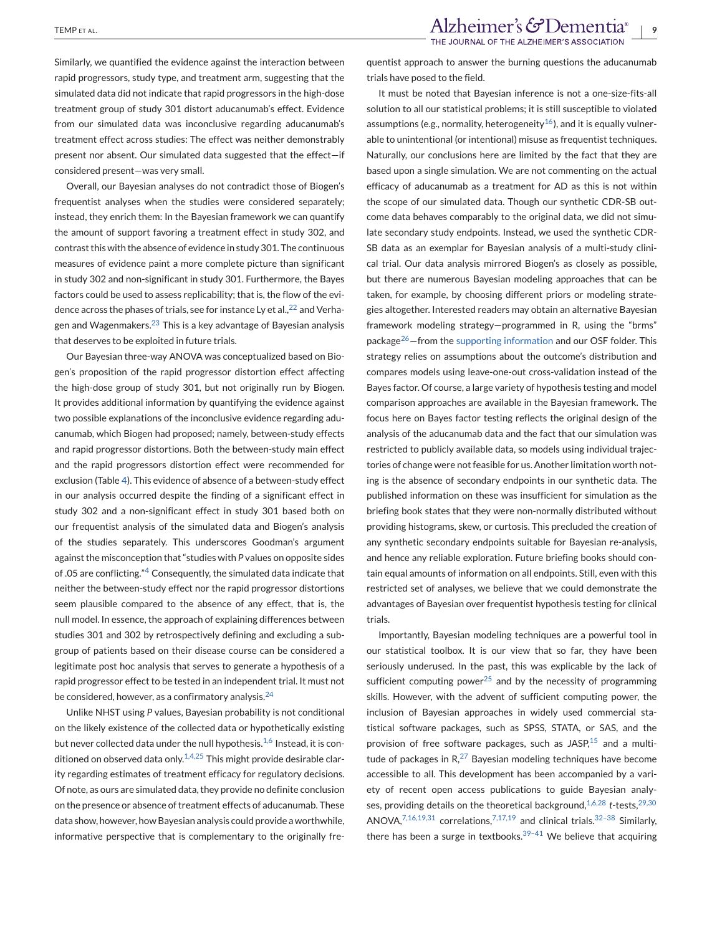Similarly, we quantified the evidence against the interaction between rapid progressors, study type, and treatment arm, suggesting that the simulated data did not indicate that rapid progressors in the high-dose treatment group of study 301 distort aducanumab's effect. Evidence from our simulated data was inconclusive regarding aducanumab's treatment effect across studies: The effect was neither demonstrably present nor absent. Our simulated data suggested that the effect—if considered present—was very small.

Overall, our Bayesian analyses do not contradict those of Biogen's frequentist analyses when the studies were considered separately; instead, they enrich them: In the Bayesian framework we can quantify the amount of support favoring a treatment effect in study 302, and contrast this with the absence of evidence in study 301. The continuous measures of evidence paint a more complete picture than significant in study 302 and non-significant in study 301. Furthermore, the Bayes factors could be used to assess replicability; that is, the flow of the evidence across the phases of trials, see for instance Ly et al.,  $^{22}$  $^{22}$  $^{22}$  and Verha-gen and Wagenmakers.<sup>[23](#page-9-0)</sup> This is a key advantage of Bayesian analysis that deserves to be exploited in future trials.

Our Bayesian three-way ANOVA was conceptualized based on Biogen's proposition of the rapid progressor distortion effect affecting the high-dose group of study 301, but not originally run by Biogen. It provides additional information by quantifying the evidence against two possible explanations of the inconclusive evidence regarding aducanumab, which Biogen had proposed; namely, between-study effects and rapid progressor distortions. Both the between-study main effect and the rapid progressors distortion effect were recommended for exclusion (Table [4\)](#page-6-0). This evidence of absence of a between-study effect in our analysis occurred despite the finding of a significant effect in study 302 and a non-significant effect in study 301 based both on our frequentist analysis of the simulated data and Biogen's analysis of the studies separately. This underscores Goodman's argument against the misconception that "studies with *P* values on opposite sides of .05 are conflicting."[4](#page-9-0) Consequently, the simulated data indicate that neither the between-study effect nor the rapid progressor distortions seem plausible compared to the absence of any effect, that is, the null model. In essence, the approach of explaining differences between studies 301 and 302 by retrospectively defining and excluding a subgroup of patients based on their disease course can be considered a legitimate post hoc analysis that serves to generate a hypothesis of a rapid progressor effect to be tested in an independent trial. It must not be considered, however, as a confirmatory analysis.<sup>[24](#page-9-0)</sup>

Unlike NHST using *P* values, Bayesian probability is not conditional on the likely existence of the collected data or hypothetically existing but never collected data under the null hypothesis.<sup>[1,6](#page-9-0)</sup> Instead, it is con-ditioned on observed data only.<sup>[1,4,25](#page-9-0)</sup> This might provide desirable clarity regarding estimates of treatment efficacy for regulatory decisions. Of note, as ours are simulated data, they provide no definite conclusion on the presence or absence of treatment effects of aducanumab. These data show, however, how Bayesian analysis could provide a worthwhile, informative perspective that is complementary to the originally frequentist approach to answer the burning questions the aducanumab trials have posed to the field.

It must be noted that Bayesian inference is not a one-size-fits-all solution to all our statistical problems; it is still susceptible to violated assumptions (e.g., normality, heterogeneity<sup>16</sup>), and it is equally vulnerable to unintentional (or intentional) misuse as frequentist techniques. Naturally, our conclusions here are limited by the fact that they are based upon a single simulation. We are not commenting on the actual efficacy of aducanumab as a treatment for AD as this is not within the scope of our simulated data. Though our synthetic CDR-SB outcome data behaves comparably to the original data, we did not simulate secondary study endpoints. Instead, we used the synthetic CDR-SB data as an exemplar for Bayesian analysis of a multi-study clinical trial. Our data analysis mirrored Biogen's as closely as possible, but there are numerous Bayesian modeling approaches that can be taken, for example, by choosing different priors or modeling strategies altogether. Interested readers may obtain an alternative Bayesian framework modeling strategy—programmed in R, using the "brms" package<sup>26</sup>–from the supporting information and our OSF folder. This strategy relies on assumptions about the outcome's distribution and compares models using leave-one-out cross-validation instead of the Bayes factor. Of course, a large variety of hypothesis testing and model comparison approaches are available in the Bayesian framework. The focus here on Bayes factor testing reflects the original design of the analysis of the aducanumab data and the fact that our simulation was restricted to publicly available data, so models using individual trajectories of change were not feasible for us. Another limitation worth noting is the absence of secondary endpoints in our synthetic data. The published information on these was insufficient for simulation as the briefing book states that they were non-normally distributed without providing histograms, skew, or curtosis. This precluded the creation of any synthetic secondary endpoints suitable for Bayesian re-analysis, and hence any reliable exploration. Future briefing books should contain equal amounts of information on all endpoints. Still, even with this restricted set of analyses, we believe that we could demonstrate the advantages of Bayesian over frequentist hypothesis testing for clinical trials.

Importantly, Bayesian modeling techniques are a powerful tool in our statistical toolbox. It is our view that so far, they have been seriously underused. In the past, this was explicable by the lack of sufficient computing power<sup>[25](#page-9-0)</sup> and by the necessity of programming skills. However, with the advent of sufficient computing power, the inclusion of Bayesian approaches in widely used commercial statistical software packages, such as SPSS, STATA, or SAS, and the provision of free software packages, such as JASP, $15$  and a multitude of packages in  $R<sub>1</sub><sup>27</sup>$  $R<sub>1</sub><sup>27</sup>$  $R<sub>1</sub><sup>27</sup>$  Bayesian modeling techniques have become accessible to all. This development has been accompanied by a variety of recent open access publications to guide Bayesian analy-ses, providing details on the theoretical background,<sup>[1,6,28](#page-9-0)</sup> *t*-tests,<sup>[29,30](#page-9-0)</sup> ANOVA, $^{7,16,19,31}$  $^{7,16,19,31}$  $^{7,16,19,31}$  correlations, $^{7,17,19}$  $^{7,17,19}$  $^{7,17,19}$  and clinical trials. $^{32-38}$  Similarly, there has been a surge in textbooks. $39-41$  We believe that acquiring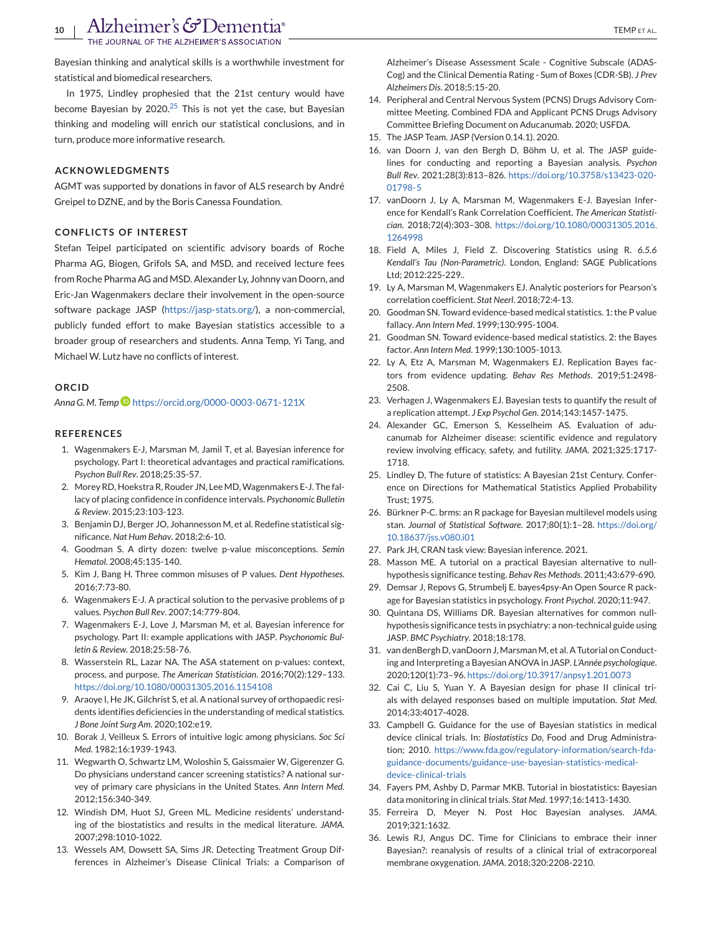<span id="page-9-0"></span>Bayesian thinking and analytical skills is a worthwhile investment for statistical and biomedical researchers.

In 1975, Lindley prophesied that the 21st century would have become Bayesian by  $2020^{25}$  This is not yet the case, but Bayesian thinking and modeling will enrich our statistical conclusions, and in turn, produce more informative research.

#### **ACKNOWLEDGMENTS**

AGMT was supported by donations in favor of ALS research by André Greipel to DZNE, and by the Boris Canessa Foundation.

#### **CONFLICTS OF INTEREST**

Stefan Teipel participated on scientific advisory boards of Roche Pharma AG, Biogen, Grifols SA, and MSD, and received lecture fees from Roche Pharma AG and MSD. Alexander Ly, Johnny van Doorn, and Eric-Jan Wagenmakers declare their involvement in the open-source software package JASP [\(https://jasp-stats.org/\)](https://jasp-stats.org/), a non-commercial, publicly funded effort to make Bayesian statistics accessible to a broader group of researchers and students. Anna Temp, Yi Tang, and Michael W. Lutz have no conflicts of interest.

#### **ORCID**

*Anna G. M. Temp* <https://orcid.org/0000-0003-0671-121X>

#### **REFERENCES**

- 1. Wagenmakers E-J, Marsman M, Jamil T, et al. Bayesian inference for psychology. Part I: theoretical advantages and practical ramifications. *Psychon Bull Rev*. 2018;25:35-57.
- 2. Morey RD, Hoekstra R, Rouder JN, Lee MD, Wagenmakers E-J. The fallacy of placing confidence in confidence intervals. *Psychonomic Bulletin & Review*. 2015;23:103-123.
- 3. Benjamin DJ, Berger JO, Johannesson M, et al. Redefine statistical significance. *Nat Hum Behav*. 2018;2:6-10.
- 4. Goodman S. A dirty dozen: twelve p-value misconceptions. *Semin Hematol*. 2008;45:135-140.
- 5. Kim J, Bang H. Three common misuses of P values. *Dent Hypotheses*. 2016;7:73-80.
- 6. Wagenmakers E-J. A practical solution to the pervasive problems of p values. *Psychon Bull Rev*. 2007;14:779-804.
- 7. Wagenmakers E-J, Love J, Marsman M, et al. Bayesian inference for psychology. Part II: example applications with JASP. *Psychonomic Bulletin & Review*. 2018;25:58-76.
- 8. Wasserstein RL, Lazar NA. The ASA statement on p-values: context, process, and purpose. *The American Statistician*. 2016;70(2):129–133. <https://doi.org/10.1080/00031305.2016.1154108>
- 9. Araoye I, He JK, Gilchrist S, et al. A national survey of orthopaedic residents identifies deficiencies in the understanding of medical statistics. *J Bone Joint Surg Am*. 2020;102:e19.
- 10. Borak J, Veilleux S. Errors of intuitive logic among physicians. *Soc Sci Med*. 1982;16:1939-1943.
- 11. Wegwarth O, Schwartz LM, Woloshin S, Gaissmaier W, Gigerenzer G. Do physicians understand cancer screening statistics? A national survey of primary care physicians in the United States. *Ann Intern Med*. 2012;156:340-349.
- 12. Windish DM, Huot SJ, Green ML. Medicine residents' understanding of the biostatistics and results in the medical literature. *JAMA*. 2007;298:1010-1022.
- 13. Wessels AM, Dowsett SA, Sims JR. Detecting Treatment Group Differences in Alzheimer's Disease Clinical Trials: a Comparison of

Alzheimer's Disease Assessment Scale - Cognitive Subscale (ADAS-Cog) and the Clinical Dementia Rating - Sum of Boxes (CDR-SB). *J Prev Alzheimers Dis*. 2018;5:15-20.

- 14. Peripheral and Central Nervous System (PCNS) Drugs Advisory Committee Meeting. Combined FDA and Applicant PCNS Drugs Advisory Committee Briefing Document on Aducanumab. 2020; USFDA.
- 15. The JASP Team. JASP (Version 0.14.1). 2020.
- 16. van Doorn J, van den Bergh D, Böhm U, et al. The JASP guidelines for conducting and reporting a Bayesian analysis. *Psychon Bull Rev*. 2021;28(3):813–826. [https://doi.org/10.3758/s13423-020-](https://doi.org/10.3758/s13423-020-01798-5) [01798-5](https://doi.org/10.3758/s13423-020-01798-5)
- 17. vanDoorn J, Ly A, Marsman M, Wagenmakers E-J. Bayesian Inference for Kendall's Rank Correlation Coefficient. *The American Statistician*. 2018;72(4):303–308. [https://doi.org/10.1080/00031305.2016.](https://doi.org/10.1080/00031305.2016.1264998) [1264998](https://doi.org/10.1080/00031305.2016.1264998)
- 18. Field A, Miles J, Field Z. Discovering Statistics using R. *6.5.6 Kendall's Tau (Non-Parametric)*. London, England: SAGE Publications Ltd; 2012:225-229..
- 19. Ly A, Marsman M, Wagenmakers EJ. Analytic posteriors for Pearson's correlation coefficient. *Stat Neerl*. 2018;72:4-13.
- 20. Goodman SN. Toward evidence-based medical statistics. 1: the P value fallacy. *Ann Intern Med*. 1999;130:995-1004.
- 21. Goodman SN. Toward evidence-based medical statistics. 2: the Bayes factor. *Ann Intern Med*. 1999;130:1005-1013.
- 22. Ly A, Etz A, Marsman M, Wagenmakers EJ. Replication Bayes factors from evidence updating. *Behav Res Methods*. 2019;51:2498- 2508.
- 23. Verhagen J, Wagenmakers EJ. Bayesian tests to quantify the result of a replication attempt. *J Exp Psychol Gen*. 2014;143:1457-1475.
- 24. Alexander GC, Emerson S, Kesselheim AS. Evaluation of aducanumab for Alzheimer disease: scientific evidence and regulatory review involving efficacy, safety, and futility. *JAMA*. 2021;325:1717- 1718.
- 25. Lindley D, The future of statistics: A Bayesian 21st Century. Conference on Directions for Mathematical Statistics Applied Probability Trust; 1975.
- 26. Bürkner P-C. brms: an R package for Bayesian multilevel models using stan. *Journal of Statistical Software*. 2017;80(1):1–28. [https://doi.org/](https://doi.org/10.18637/jss.v080.i01) [10.18637/jss.v080.i01](https://doi.org/10.18637/jss.v080.i01)
- 27. Park JH, CRAN task view: Bayesian inference. 2021.
- 28. Masson ME. A tutorial on a practical Bayesian alternative to nullhypothesis significance testing. *Behav Res Methods*. 2011;43:679-690.
- 29. Demsar J, Repovs G, Strumbelj E. bayes4psy-An Open Source R package for Bayesian statistics in psychology. *Front Psychol*. 2020;11:947.
- 30. Quintana DS, Williams DR. Bayesian alternatives for common nullhypothesis significance tests in psychiatry: a non-technical guide using JASP. *BMC Psychiatry*. 2018;18:178.
- 31. van denBergh D, vanDoorn J, Marsman M, et al. A Tutorial on Conducting and Interpreting a Bayesian ANOVA in JASP. *L'Année psychologique*. 2020;120(1):73–96. <https://doi.org/10.3917/anpsy1.201.0073>
- 32. Cai C, Liu S, Yuan Y. A Bayesian design for phase II clinical trials with delayed responses based on multiple imputation. *Stat Med*. 2014;33:4017-4028.
- 33. Campbell G. Guidance for the use of Bayesian statistics in medical device clinical trials. In: *Biostatistics Do*, Food and Drug Administration; 2010. [https://www.fda.gov/regulatory-information/search-fda](https://www.fda.gov/regulatory-information/search-fda-guidance-documents/guidance-use-bayesian-statistics-medical-device-clinical-trials)[guidance-documents/guidance-use-bayesian-statistics-medical](https://www.fda.gov/regulatory-information/search-fda-guidance-documents/guidance-use-bayesian-statistics-medical-device-clinical-trials)[device-clinical-trials](https://www.fda.gov/regulatory-information/search-fda-guidance-documents/guidance-use-bayesian-statistics-medical-device-clinical-trials)
- 34. Fayers PM, Ashby D, Parmar MKB. Tutorial in biostatistics: Bayesian data monitoring in clinical trials. *Stat Med*. 1997;16:1413-1430.
- 35. Ferreira D, Meyer N. Post Hoc Bayesian analyses. *JAMA*. 2019;321:1632.
- 36. Lewis RJ, Angus DC. Time for Clinicians to embrace their inner Bayesian?: reanalysis of results of a clinical trial of extracorporeal membrane oxygenation. *JAMA*. 2018;320:2208-2210.